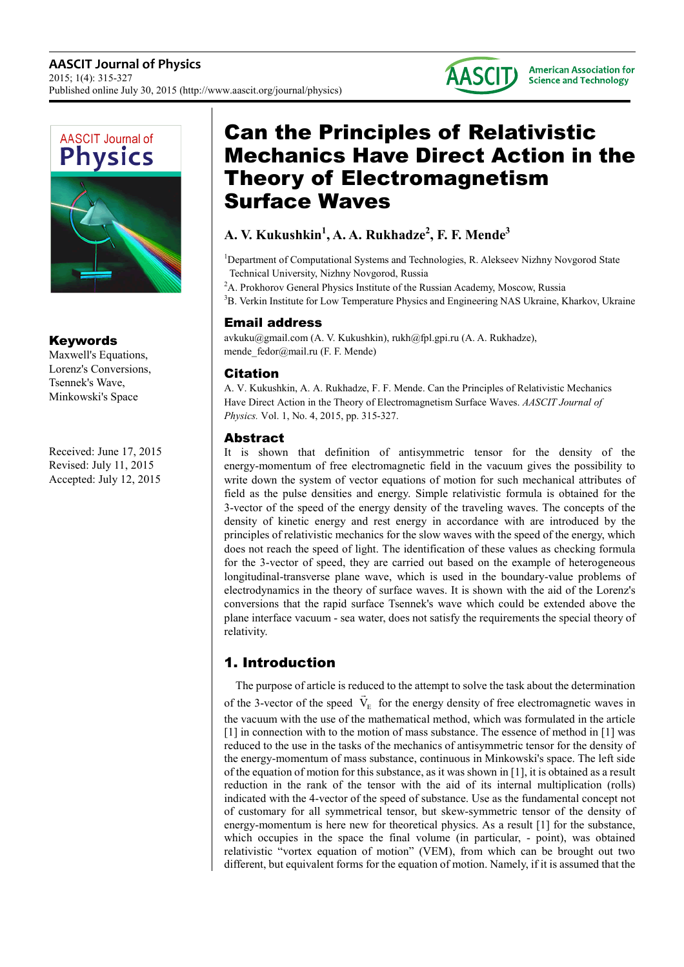



#### Keywords

Maxwell's Equations, Lorenz's Conversions, Tsennek's Wave, Minkowski's Space

Received: June 17, 2015 Revised: July 11, 2015 Accepted: July 12, 2015

# Can the Principles of Relativistic Mechanics Have Direct Action in the Theory of Electromagnetism Surface Waves

### **A. V. Kukushkin<sup>1</sup> , A. A. Rukhadze<sup>2</sup> , F. F. Mende<sup>3</sup>**

<sup>1</sup>Department of Computational Systems and Technologies, R. Alekseev Nizhny Novgorod State Technical University, Nizhny Novgorod, Russia

<sup>2</sup>A. Prokhorov General Physics Institute of the Russian Academy, Moscow, Russia

<sup>3</sup>B. Verkin Institute for Low Temperature Physics and Engineering NAS Ukraine, Kharkov, Ukraine

#### Email address

avkuku@gmail.com (A. V. Kukushkin), rukh@fpl.gpi.ru (A. A. Rukhadze), mende\_fedor@mail.ru (F. F. Mende)

#### Citation

A. V. Kukushkin, A. A. Rukhadze, F. F. Mende. Can the Principles of Relativistic Mechanics Have Direct Action in the Theory of Electromagnetism Surface Waves. *AASCIT Journal of Physics.* Vol. 1, No. 4, 2015, pp. 315-327.

#### Abstract

It is shown that definition of antisymmetric tensor for the density of the energy-momentum of free electromagnetic field in the vacuum gives the possibility to write down the system of vector equations of motion for such mechanical attributes of field as the pulse densities and energy. Simple relativistic formula is obtained for the 3-vector of the speed of the energy density of the traveling waves. The concepts of the density of kinetic energy and rest energy in accordance with are introduced by the principles of relativistic mechanics for the slow waves with the speed of the energy, which does not reach the speed of light. The identification of these values as checking formula for the 3-vector of speed, they are carried out based on the example of heterogeneous longitudinal-transverse plane wave, which is used in the boundary-value problems of electrodynamics in the theory of surface waves. It is shown with the aid of the Lorenz's conversions that the rapid surface Tsennek's wave which could be extended above the plane interface vacuum - sea water, does not satisfy the requirements the special theory of relativity.

## 1. Introduction

The purpose of article is reduced to the attempt to solve the task about the determination of the 3-vector of the speed  $V_{E}$  for the energy density of free electromagnetic waves in the vacuum with the use of the mathematical method, which was formulated in the article [1] in connection with to the motion of mass substance. The essence of method in [1] was reduced to the use in the tasks of the mechanics of antisymmetric tensor for the density of the energy-momentum of mass substance, continuous in Minkowski's space. The left side of the equation of motion for this substance, as it was shown in [1], it is obtained as a result reduction in the rank of the tensor with the aid of its internal multiplication (rolls) indicated with the 4-vector of the speed of substance. Use as the fundamental concept not of customary for all symmetrical tensor, but skew-symmetric tensor of the density of energy-momentum is here new for theoretical physics. As a result [1] for the substance, which occupies in the space the final volume (in particular, - point), was obtained relativistic "vortex equation of motion" (VEM), from which can be brought out two different, but equivalent forms for the equation of motion. Namely, if it is assumed that the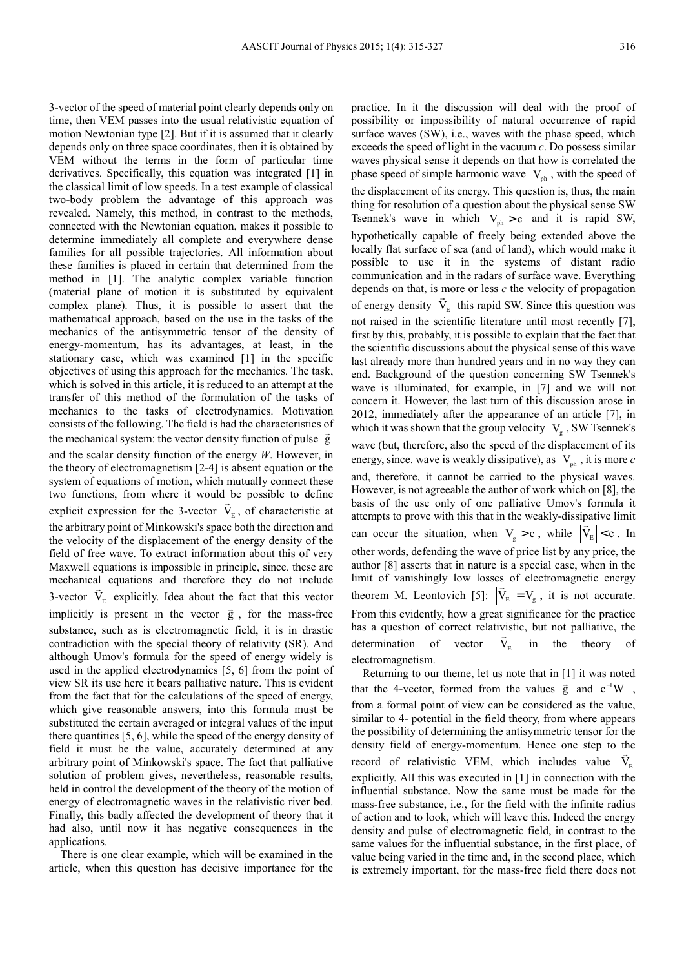time, then VEM passes into the usual relativistic equation of motion Newtonian type [2]. But if it is assumed that it clearly depends only on three space coordinates, then it is obtained by VEM without the terms in the form of particular time derivatives. Specifically, this equation was integrated [1] in the classical limit of low speeds. In a test example of classical two-body problem the advantage of this approach was revealed. Namely, this method, in contrast to the methods, connected with the Newtonian equation, makes it possible to determine immediately all complete and everywhere dense families for all possible trajectories. All information about these families is placed in certain that determined from the method in [1]. The analytic complex variable function (material plane of motion it is substituted by equivalent complex plane). Thus, it is possible to assert that the mathematical approach, based on the use in the tasks of the mechanics of the antisymmetric tensor of the density of energy-momentum, has its advantages, at least, in the stationary case, which was examined [1] in the specific objectives of using this approach for the mechanics. The task, which is solved in this article, it is reduced to an attempt at the transfer of this method of the formulation of the tasks of mechanics to the tasks of electrodynamics. Motivation consists of the following. The field is had the characteristics of the mechanical system: the vector density function of pulse  $\vec{g}$ and the scalar density function of the energy *W*. However, in the theory of electromagnetism [2-4] is absent equation or the system of equations of motion, which mutually connect these two functions, from where it would be possible to define explicit expression for the 3-vector  $V_{E}$ , of characteristic at the arbitrary point of Minkowski's space both the direction and the velocity of the displacement of the energy density of the field of free wave. To extract information about this of very Maxwell equations is impossible in principle, since. these are mechanical equations and therefore they do not include 3-vector  $V_E$  explicitly. Idea about the fact that this vector implicitly is present in the vector  $\vec{g}$ , for the mass-free substance, such as is electromagnetic field, it is in drastic contradiction with the special theory of relativity (SR). And although Umov's formula for the speed of energy widely is used in the applied electrodynamics [5, 6] from the point of view SR its use here it bears palliative nature. This is evident from the fact that for the calculations of the speed of energy, which give reasonable answers, into this formula must be substituted the certain averaged or integral values of the input there quantities [5, 6], while the speed of the energy density of field it must be the value, accurately determined at any arbitrary point of Minkowski's space. The fact that palliative solution of problem gives, nevertheless, reasonable results, held in control the development of the theory of the motion of energy of electromagnetic waves in the relativistic river bed. Finally, this badly affected the development of theory that it had also, until now it has negative consequences in the applications.

3-vector of the speed of material point clearly depends only on

There is one clear example, which will be examined in the article, when this question has decisive importance for the practice. In it the discussion will deal with the proof of possibility or impossibility of natural occurrence of rapid surface waves (SW), i.e., waves with the phase speed, which exceeds the speed of light in the vacuum *c*. Do possess similar waves physical sense it depends on that how is correlated the phase speed of simple harmonic wave  $V_{ph}$ , with the speed of the displacement of its energy. This question is, thus, the main thing for resolution of a question about the physical sense SW Tsennek's wave in which  $V_{ph} > c$  and it is rapid SW, hypothetically capable of freely being extended above the locally flat surface of sea (and of land), which would make it possible to use it in the systems of distant radio communication and in the radars of surface wave. Everything depends on that, is more or less *c* the velocity of propagation of energy density  $V_{E}$  this rapid SW. Since this question was not raised in the scientific literature until most recently [7], first by this, probably, it is possible to explain that the fact that the scientific discussions about the physical sense of this wave last already more than hundred years and in no way they can end. Background of the question concerning SW Tsennek's wave is illuminated, for example, in [7] and we will not concern it. However, the last turn of this discussion arose in 2012, immediately after the appearance of an article [7], in which it was shown that the group velocity  $V_g$ , SW Tsennek's wave (but, therefore, also the speed of the displacement of its energy, since. wave is weakly dissipative), as  $V_{ph}$ , it is more *c* and, therefore, it cannot be carried to the physical waves. However, is not agreeable the author of work which on [8], the basis of the use only of one palliative Umov's formula it attempts to prove with this that in the weakly-dissipative limit can occur the situation, when  $V_g > c$ , while  $|V_E| < c$ . In other words, defending the wave of price list by any price, the author [8] asserts that in nature is a special case, when in the limit of vanishingly low losses of electromagnetic energy theorem M. Leontovich [5]:  $|V_{E}| = V_{g}$ , it is not accurate. From this evidently, how a great significance for the practice has a question of correct relativistic, but not palliative, the determination of vector  $V_{E}$  in the theory of electromagnetism.

Returning to our theme, let us note that in [1] it was noted that the 4-vector, formed from the values  $\vec{g}$  and  $c^{-1}W$ , from a formal point of view can be considered as the value, similar to 4- potential in the field theory, from where appears the possibility of determining the antisymmetric tensor for the density field of energy-momentum. Hence one step to the record of relativistic VEM, which includes value  $\vec{V}_E$ explicitly. All this was executed in [1] in connection with the influential substance. Now the same must be made for the mass-free substance, i.e., for the field with the infinite radius of action and to look, which will leave this. Indeed the energy density and pulse of electromagnetic field, in contrast to the same values for the influential substance, in the first place, of value being varied in the time and, in the second place, which is extremely important, for the mass-free field there does not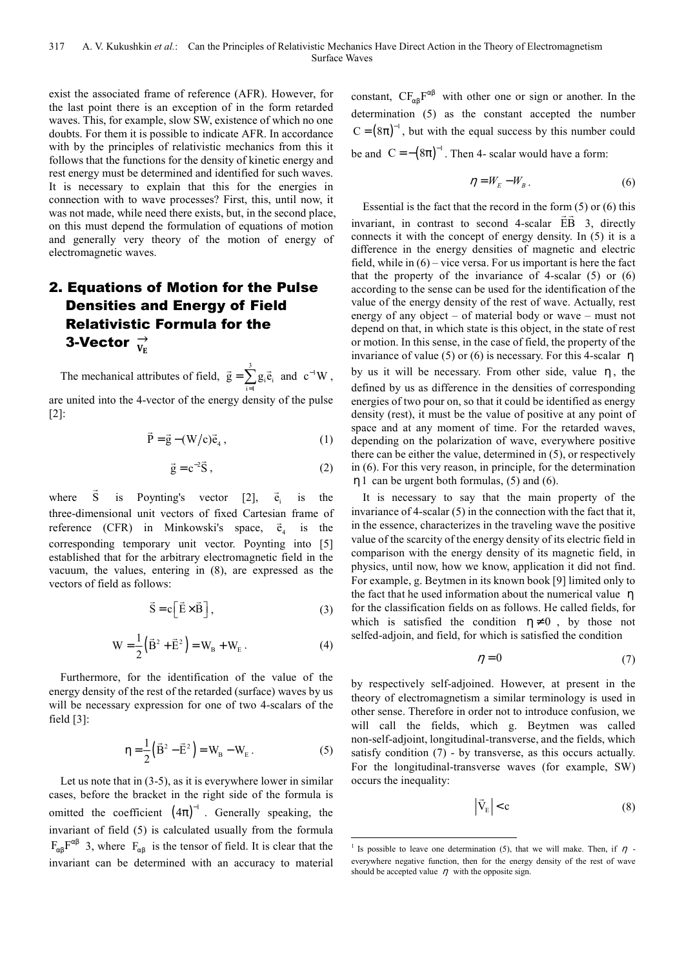exist the associated frame of reference (AFR). However, for the last point there is an exception of in the form retarded waves. This, for example, slow SW, existence of which no one doubts. For them it is possible to indicate AFR. In accordance with by the principles of relativistic mechanics from this it follows that the functions for the density of kinetic energy and rest energy must be determined and identified for such waves. It is necessary to explain that this for the energies in connection with to wave processes? First, this, until now, it was not made, while need there exists, but, in the second place, on this must depend the formulation of equations of motion and generally very theory of the motion of energy of electromagnetic waves.

### 2. Equations of Motion for the Pulse Densities and Energy of Field Relativistic Formula for the 3-Vector  $\frac{\rightarrow}{\mathrm{V}_{\mathrm{E}}}$

The mechanical attributes of field,  $\vec{g} = \sum^{3}$  $\sum_{i=1}$  5i $v_i$  $\vec{g} = \sum g_i \vec{e}_i$  $\vec{g} = \sum_{i=1}^{3} g_i \vec{e}_i$  and  $c^{-1}W$ , are united into the 4-vector of the energy density of the pulse [2]:

$$
\vec{P} = \vec{g} - (W/c)\vec{e}_4, \qquad (1)
$$

$$
\vec{g} = c^{-2}\vec{S},\qquad(2)
$$

where  $\overline{S}$ is Poynting's vector [2], e is the three-dimensional unit vectors of fixed Cartesian frame of reference (CFR) in Minkowski's space,  $\vec{e}_4$  is the corresponding temporary unit vector. Poynting into [5] established that for the arbitrary electromagnetic field in the vacuum, the values, entering in (8), are expressed as the vectors of field as follows:

$$
\vec{S} = c \left[ \vec{E} \times \vec{B} \right],\tag{3}
$$

$$
W = \frac{1}{2} (\vec{B}^2 + \vec{E}^2) = W_B + W_E.
$$
 (4)

Furthermore, for the identification of the value of the energy density of the rest of the retarded (surface) waves by us will be necessary expression for one of two 4-scalars of the field [3]:

$$
\eta = \frac{1}{2} (\vec{B}^2 - \vec{E}^2) = W_B - W_E.
$$
 (5)

Let us note that in  $(3-5)$ , as it is everywhere lower in similar cases, before the bracket in the right side of the formula is omitted the coefficient  $(4\pi)^{-1}$ . Generally speaking, the invariant of field (5) is calculated usually from the formula  $F_{\alpha\beta}F^{\alpha\beta}$  3, where  $F_{\alpha\beta}$  is the tensor of field. It is clear that the invariant can be determined with an accuracy to material

constant,  $CF_{\alpha\beta}F^{\alpha\beta}$  with other one or sign or another. In the determination (5) as the constant accepted the number  $C = (8\pi)^{-1}$ , but with the equal success by this number could be and  $C = -(8\pi)^{-1}$ . Then 4- scalar would have a form:

$$
\eta = W_E - W_B \,. \tag{6}
$$

Essential is the fact that the record in the form  $(5)$  or  $(6)$  this invariant, in contrast to second 4-scalar EB 3, directly connects it with the concept of energy density. In (5) it is a difference in the energy densities of magnetic and electric field, while in  $(6)$  – vice versa. For us important is here the fact that the property of the invariance of 4-scalar  $(5)$  or  $(6)$ according to the sense can be used for the identification of the value of the energy density of the rest of wave. Actually, rest energy of any object – of material body or wave – must not depend on that, in which state is this object, in the state of rest or motion. In this sense, in the case of field, the property of the invariance of value (5) or (6) is necessary. For this 4-scalar  $\eta$ by us it will be necessary. From other side, value  $\eta$ , the defined by us as difference in the densities of corresponding energies of two pour on, so that it could be identified as energy density (rest), it must be the value of positive at any point of space and at any moment of time. For the retarded waves, depending on the polarization of wave, everywhere positive there can be either the value, determined in (5), or respectively in (6). For this very reason, in principle, for the determination η1 can be urgent both formulas, (5) and (6).

It is necessary to say that the main property of the invariance of 4-scalar (5) in the connection with the fact that it, in the essence, characterizes in the traveling wave the positive value of the scarcity of the energy density of its electric field in comparison with the energy density of its magnetic field, in physics, until now, how we know, application it did not find. For example, g. Beytmen in its known book [9] limited only to the fact that he used information about the numerical value η for the classification fields on as follows. He called fields, for which is satisfied the condition  $\eta \neq 0$ , by those not selfed-adjoin, and field, for which is satisfied the condition

$$
\eta = 0\tag{7}
$$

by respectively self-adjoined. However, at present in the theory of electromagnetism a similar terminology is used in other sense. Therefore in order not to introduce confusion, we will call the fields, which g. Beytmen was called non-self-adjoint, longitudinal-transverse, and the fields, which satisfy condition (7) - by transverse, as this occurs actually. For the longitudinal-transverse waves (for example, SW) occurs the inequality:

$$
\left| \vec{V}_{E} \right| < c \tag{8}
$$

<sup>&</sup>lt;sup>1</sup> Is possible to leave one determination (5), that we will make. Then, if  $\eta$  everywhere negative function, then for the energy density of the rest of wave should be accepted value  $\eta$  with the opposite sign.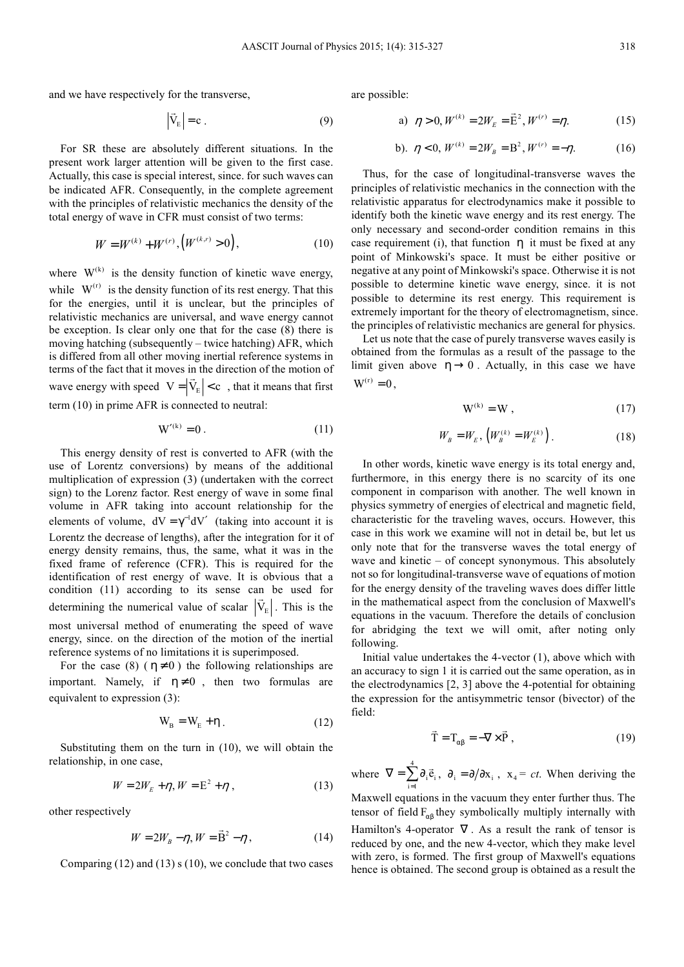and we have respectively for the transverse,

$$
\left|\vec{V}_{E}\right| = c \tag{9}
$$

For SR these are absolutely different situations. In the present work larger attention will be given to the first case. Actually, this case is special interest, since. for such waves can be indicated AFR. Consequently, in the complete agreement with the principles of relativistic mechanics the density of the total energy of wave in CFR must consist of two terms:

$$
W = W^{(k)} + W^{(r)}, \left(W^{(k,r)} > 0\right),\tag{10}
$$

where  $W^{(k)}$  is the density function of kinetic wave energy, while  $W^{(r)}$  is the density function of its rest energy. That this for the energies, until it is unclear, but the principles of relativistic mechanics are universal, and wave energy cannot be exception. Is clear only one that for the case (8) there is moving hatching (subsequently – twice hatching) AFR, which is differed from all other moving inertial reference systems in terms of the fact that it moves in the direction of the motion of wave energy with speed  $V = |V_E| < c$ , that it means that first term (10) in prime AFR is connected to neutral:

$$
W^{\prime(k)} = 0. \tag{11}
$$

This energy density of rest is converted to AFR (with the use of Lorentz conversions) by means of the additional multiplication of expression (3) (undertaken with the correct sign) to the Lorenz factor. Rest energy of wave in some final volume in AFR taking into account relationship for the elements of volume,  $dV = \gamma^{-1} dV'$  (taking into account it is Lorentz the decrease of lengths), after the integration for it of energy density remains, thus, the same, what it was in the fixed frame of reference (CFR). This is required for the identification of rest energy of wave. It is obvious that a condition (11) according to its sense can be used for determining the numerical value of scalar  $|V_{E}|$ . This is the most universal method of enumerating the speed of wave energy, since. on the direction of the motion of the inertial reference systems of no limitations it is superimposed.

For the case (8) ( $\eta \neq 0$ ) the following relationships are important. Namely, if  $\eta \neq 0$ , then two formulas are equivalent to expression (3):

$$
W_{\rm B} = W_{\rm E} + \eta \tag{12}
$$

Substituting them on the turn in (10), we will obtain the relationship, in one case,

$$
W = 2W_E + \eta, W = E^2 + \eta,
$$
 (13)

other respectively

$$
W = 2W_B - \eta, W = \vec{B}^2 - \eta,
$$
 (14)

Comparing  $(12)$  and  $(13)$  s  $(10)$ , we conclude that two cases

are possible:

a) 
$$
\eta > 0, W^{(k)} = 2W_E = \vec{E}^2, W^{(r)} = \eta.
$$
 (15)

b). 
$$
\eta < 0, W^{(k)} = 2W_B = B^2, W^{(r)} = -\eta.
$$
 (16)

Thus, for the case of longitudinal-transverse waves the principles of relativistic mechanics in the connection with the relativistic apparatus for electrodynamics make it possible to identify both the kinetic wave energy and its rest energy. The only necessary and second-order condition remains in this case requirement (i), that function  $\eta$  it must be fixed at any point of Minkowski's space. It must be either positive or negative at any point of Minkowski's space. Otherwise it is not possible to determine kinetic wave energy, since. it is not possible to determine its rest energy. This requirement is extremely important for the theory of electromagnetism, since. the principles of relativistic mechanics are general for physics.

Let us note that the case of purely transverse waves easily is obtained from the formulas as a result of the passage to the limit given above  $\eta \rightarrow 0$ . Actually, in this case we have  $W^{(r)} = 0$ ,

$$
W^{(k)} = W \t\t(17)
$$

$$
W_{B} = W_{E}, \left( W_{B}^{(k)} = W_{E}^{(k)} \right). \tag{18}
$$

In other words, kinetic wave energy is its total energy and, furthermore, in this energy there is no scarcity of its one component in comparison with another. The well known in physics symmetry of energies of electrical and magnetic field, characteristic for the traveling waves, occurs. However, this case in this work we examine will not in detail be, but let us only note that for the transverse waves the total energy of wave and kinetic  $-$  of concept synonymous. This absolutely not so for longitudinal-transverse wave of equations of motion for the energy density of the traveling waves does differ little in the mathematical aspect from the conclusion of Maxwell's equations in the vacuum. Therefore the details of conclusion for abridging the text we will omit, after noting only following.

Initial value undertakes the 4-vector (1), above which with an accuracy to sign 1 it is carried out the same operation, as in the electrodynamics [2, 3] above the 4-potential for obtaining the expression for the antisymmetric tensor (bivector) of the field:

$$
\vec{T} = T_{\alpha\beta} = -\nabla \times \vec{P}, \qquad (19)
$$

where  $\nabla = \sum^4$  $\sum_{i=1}$ <sup>U</sup><sub>i</sub> v<sub>i</sub> e  $\nabla = \sum_{i=1}^{4} \partial_i \vec{e}_i$ ,  $\partial_i = \partial/\partial x_i$ ,  $x_4 = ct$ . When deriving the

Maxwell equations in the vacuum they enter further thus. The tensor of field  $F_{\alpha\beta}$  they symbolically multiply internally with

Hamilton's 4-operator  $\nabla$ . As a result the rank of tensor is reduced by one, and the new 4-vector, which they make level with zero, is formed. The first group of Maxwell's equations hence is obtained. The second group is obtained as a result the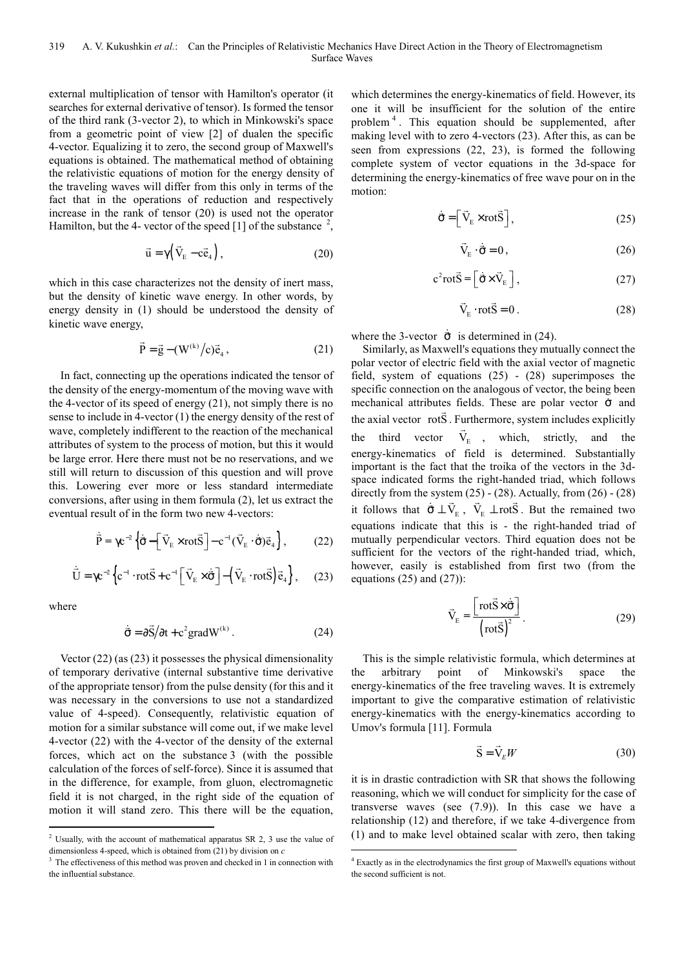external multiplication of tensor with Hamilton's operator (it searches for external derivative of tensor). Is formed the tensor of the third rank (3-vector 2), to which in Minkowski's space from a geometric point of view [2] of dualen the specific 4-vector. Equalizing it to zero, the second group of Maxwell's equations is obtained. The mathematical method of obtaining the relativistic equations of motion for the energy density of the traveling waves will differ from this only in terms of the fact that in the operations of reduction and respectively increase in the rank of tensor (20) is used not the operator Hamilton, but the 4- vector of the speed [1] of the substance  $^2$ ,

$$
\vec{u} = \gamma (\vec{V}_{E} - c\vec{e}_{4}), \qquad (20)
$$

which in this case characterizes not the density of inert mass, but the density of kinetic wave energy. In other words, by energy density in (1) should be understood the density of kinetic wave energy,

$$
\vec{P} = \vec{g} - (W^{(k)}/c)\vec{e}_4, \qquad (21)
$$

In fact, connecting up the operations indicated the tensor of the density of the energy-momentum of the moving wave with the 4-vector of its speed of energy (21), not simply there is no sense to include in 4-vector (1) the energy density of the rest of wave, completely indifferent to the reaction of the mechanical attributes of system to the process of motion, but this it would be large error. Here there must not be no reservations, and we still will return to discussion of this question and will prove this. Lowering ever more or less standard intermediate conversions, after using in them formula (2), let us extract the eventual result of in the form two new 4-vectors:

$$
\dot{\vec{P}} = \gamma c^{-2} \left\{ \dot{\vec{\sigma}} - \left[ \vec{V}_{E} \times \text{rot}\vec{S} \right] - c^{-1} (\vec{V}_{E} \cdot \dot{\vec{\sigma}}) \vec{e}_{4} \right\},\tag{22}
$$

$$
\dot{\vec{U}} = \gamma c^{-2} \left\{ c^{-1} \cdot rot \vec{S} + c^{-1} \left[ \vec{V}_{E} \times \dot{\vec{\sigma}} \right] - \left( \vec{V}_{E} \cdot rot \vec{S} \right) \vec{e}_{4} \right\},
$$
 (23)

where

 $\overline{a}$ 

$$
\dot{\vec{\sigma}} = \partial \vec{S} / \partial t + c^2 \text{grad} W^{(k)}.
$$
 (24)

Vector (22) (as (23) it possesses the physical dimensionality of temporary derivative (internal substantive time derivative of the appropriate tensor) from the pulse density (for this and it was necessary in the conversions to use not a standardized value of 4-speed). Consequently, relativistic equation of motion for a similar substance will come out, if we make level 4-vector (22) with the 4-vector of the density of the external forces, which act on the substance 3 (with the possible calculation of the forces of self-force). Since it is assumed that in the difference, for example, from gluon, electromagnetic field it is not charged, in the right side of the equation of motion it will stand zero. This there will be the equation,

which determines the energy-kinematics of field. However, its one it will be insufficient for the solution of the entire problem<sup>4</sup>. This equation should be supplemented, after making level with to zero 4-vectors (23). After this, as can be seen from expressions (22, 23), is formed the following complete system of vector equations in the 3d-space for determining the energy-kinematics of free wave pour on in the motion:

$$
\dot{\vec{\sigma}} = \left[ \vec{V}_{E} \times \text{rot}\vec{S} \right],\tag{25}
$$

$$
\vec{V}_{E} \cdot \dot{\vec{\sigma}} = 0, \qquad (26)
$$

$$
c^2 rot\vec{S} = \left[\dot{\vec{\sigma}} \times \vec{V}_E\right],
$$
 (27)

$$
\vec{V}_{E} \cdot \text{rot}\vec{S} = 0. \tag{28}
$$

where the 3-vector  $\dot{\vec{\sigma}}$  is determined in (24).

Similarly, as Maxwell's equations they mutually connect the polar vector of electric field with the axial vector of magnetic field, system of equations (25) - (28) superimposes the specific connection on the analogous of vector, the being been mechanical attributes fields. These are polar vector  $\dot{\sigma}$  and the axial vector rotS . Furthermore, system includes explicitly the third vector  $V_{E}$ , which, strictly, and the energy-kinematics of field is determined. Substantially important is the fact that the troika of the vectors in the 3dspace indicated forms the right-handed triad, which follows directly from the system  $(25)$  -  $(28)$ . Actually, from  $(26)$  -  $(28)$ it follows that  $\dot{\vec{\sigma}} \perp \vec{V}_E$ ,  $\vec{V}_E \perp \text{rot}\vec{S}$ . But the remained two equations indicate that this is - the right-handed triad of mutually perpendicular vectors. Third equation does not be sufficient for the vectors of the right-handed triad, which, however, easily is established from first two (from the equations  $(25)$  and  $(27)$ :

$$
\vec{V}_{E} = \frac{\left[ \text{rot}\vec{S} \times \dot{\vec{\sigma}} \right]}{\left( \text{rot}\vec{S} \right)^{2}}.
$$
 (29)

This is the simple relativistic formula, which determines at the arbitrary point of Minkowski's space the energy-kinematics of the free traveling waves. It is extremely important to give the comparative estimation of relativistic energy-kinematics with the energy-kinematics according to Umov's formula [11]. Formula

$$
\vec{S} = \vec{V}_E W \tag{30}
$$

it is in drastic contradiction with SR that shows the following reasoning, which we will conduct for simplicity for the case of transverse waves (see (7.9)). In this case we have a relationship (12) and therefore, if we take 4-divergence from (1) and to make level obtained scalar with zero, then taking 

<sup>&</sup>lt;sup>2</sup> Usually, with the account of mathematical apparatus SR 2, 3 use the value of dimensionless 4-speed, which is obtained from (21) by division on *c* 

<sup>&</sup>lt;sup>3</sup> The effectiveness of this method was proven and checked in 1 in connection with the influential substance.

 $4$  Exactly as in the electrodynamics the first group of Maxwell's equations without the second sufficient is not.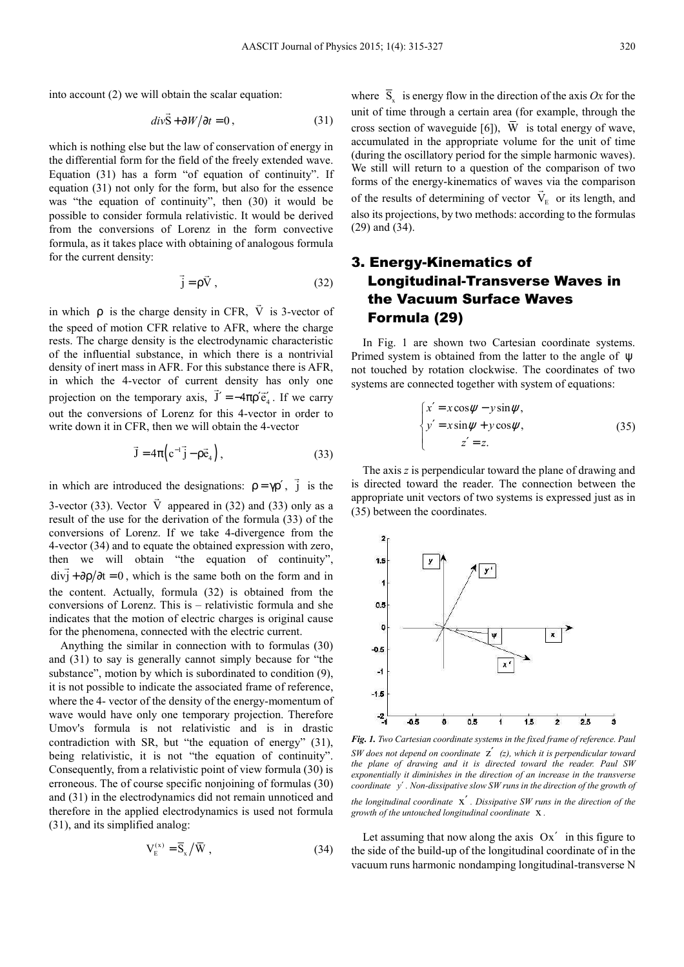into account (2) we will obtain the scalar equation:

$$
div\vec{S} + \partial W/\partial t = 0, \qquad (31)
$$

which is nothing else but the law of conservation of energy in the differential form for the field of the freely extended wave. Equation (31) has a form "of equation of continuity". If equation (31) not only for the form, but also for the essence was "the equation of continuity", then (30) it would be possible to consider formula relativistic. It would be derived from the conversions of Lorenz in the form convective formula, as it takes place with obtaining of analogous formula for the current density:

$$
\vec{j} = \rho \vec{V},\qquad(32)
$$

in which ρ is the charge density in CFR, V is 3-vector of the speed of motion CFR relative to AFR, where the charge rests. The charge density is the electrodynamic characteristic of the influential substance, in which there is a nontrivial density of inert mass in AFR. For this substance there is AFR, in which the 4-vector of current density has only one projection on the temporary axis,  $J' = -4\pi \rho' \vec{e}'_4$ . If we carry out the conversions of Lorenz for this 4-vector in order to write down it in CFR, then we will obtain the 4-vector

$$
\vec{J} = 4\pi \left( c^{-1} \vec{j} - \rho \vec{e}_4 \right),\tag{33}
$$

in which are introduced the designations:  $\rho = \gamma \rho'$ , j  $\overline{a}$ is the designations:  $\rho = \gamma \rho'$ , j is the

3-vector (33). Vector V appeared in (32) and (33) only as a result of the use for the derivation of the formula (33) of the conversions of Lorenz. If we take 4-divergence from the 4-vector (34) and to equate the obtained expression with zero, then we will obtain "the equation of continuity",  $div j + \partial \rho / \partial t = 0$ , which is the same both on the form and in the content. Actually, formula (32) is obtained from the conversions of Lorenz. This is – relativistic formula and she indicates that the motion of electric charges is original cause for the phenomena, connected with the electric current.

Anything the similar in connection with to formulas (30) and (31) to say is generally cannot simply because for "the substance", motion by which is subordinated to condition (9), it is not possible to indicate the associated frame of reference, where the 4- vector of the density of the energy-momentum of wave would have only one temporary projection. Therefore Umov's formula is not relativistic and is in drastic contradiction with SR, but "the equation of energy" (31), being relativistic, it is not "the equation of continuity". Consequently, from a relativistic point of view formula (30) is erroneous. The of course specific nonjoining of formulas (30) and (31) in the electrodynamics did not remain unnoticed and therefore in the applied electrodynamics is used not formula (31), and its simplified analog:

$$
V_{E}^{(x)} = \overline{S}_{x} / \overline{W} , \qquad (34)
$$

where  $S_x$  is energy flow in the direction of the axis  $Ox$  for the unit of time through a certain area (for example, through the cross section of waveguide [6]),  $\overline{W}$  is total energy of wave, accumulated in the appropriate volume for the unit of time (during the oscillatory period for the simple harmonic waves). We still will return to a question of the comparison of two forms of the energy-kinematics of waves via the comparison of the results of determining of vector  $V<sub>E</sub>$  or its length, and also its projections, by two methods: according to the formulas (29) and (34).

### 3. Energy-Kinematics of Longitudinal-Transverse Waves in the Vacuum Surface Waves Formula (29)

In Fig. 1 are shown two Cartesian coordinate systems. Primed system is obtained from the latter to the angle of  $\psi$ not touched by rotation clockwise. The coordinates of two systems are connected together with system of equations:

$$
\begin{cases}\nx' = x \cos \psi - y \sin \psi, \\
y' = x \sin \psi + y \cos \psi, \\
z' = z.\n\end{cases}
$$
\n(35)

The axis *z* is perpendicular toward the plane of drawing and is directed toward the reader. The connection between the appropriate unit vectors of two systems is expressed just as in (35) between the coordinates.



*Fig. 1. Two Cartesian coordinate systems in the fixed frame of reference. Paul SW does not depend on coordinate* z′ *(z), which it is perpendicular toward the plane of drawing and it is directed toward the reader. Paul SW exponentially it diminishes in the direction of an increase in the transverse coordinate y*′ *. Non-dissipative slow SW runs in the direction of the growth of* 

*the longitudinal coordinate* x′ *. Dissipative SW runs in the direction of the growth of the untouched longitudinal coordinate* x *.*

Let assuming that now along the axis  $Ox'$  in this figure to the side of the build-up of the longitudinal coordinate of in the vacuum runs harmonic nondamping longitudinal-transverse N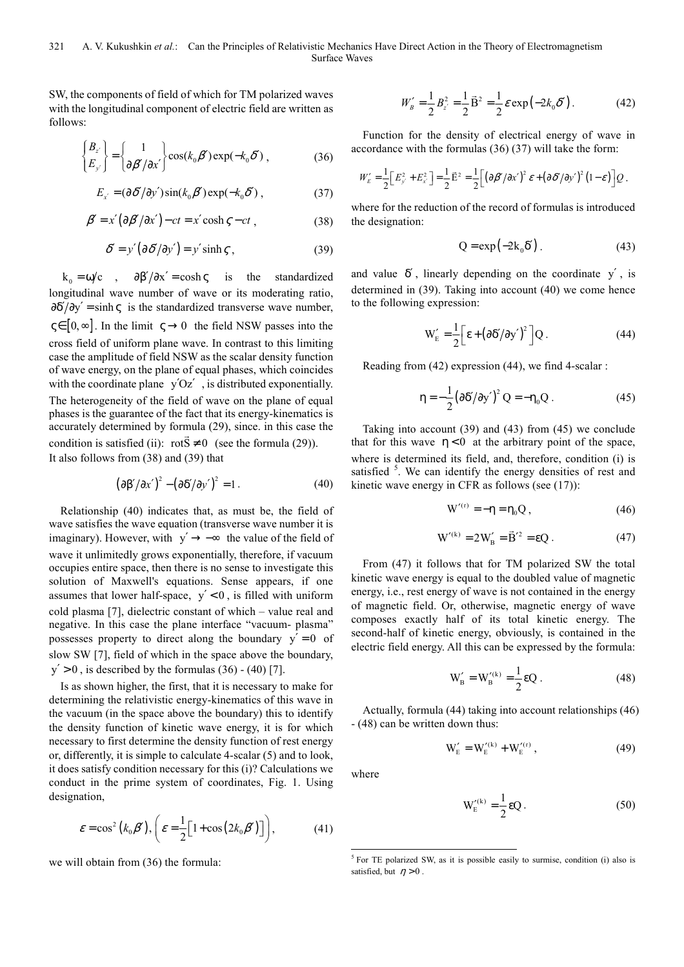SW, the components of field of which for TM polarized waves with the longitudinal component of electric field are written as follows:

$$
\begin{Bmatrix} B_{z'} \\ E_{y'} \end{Bmatrix} = \begin{Bmatrix} 1 \\ \partial \beta'/\partial x' \end{Bmatrix} \cos(k_0 \beta') \exp(-k_0 \delta'), \qquad (36)
$$

$$
E_{x'} = (\partial \delta' / \partial y') \sin(k_0 \beta') \exp(-k_0 \delta'), \qquad (37)
$$

$$
\beta' = x' \left( \frac{\partial \beta'}{\partial x'} \right) - ct = x' \cosh \zeta - ct \tag{38}
$$

$$
\delta' = y' \left( \frac{\partial \delta'}{\partial y'} \right) = y' \sinh \zeta , \qquad (39)
$$

 $k_0 = \omega/c$  ,  $\partial \beta'/\partial x' = \cosh \zeta$  is the standardized longitudinal wave number of wave or its moderating ratio,  $\partial \delta'/\partial y' = \sinh \varsigma$  is the standardized transverse wave number,  $\zeta \in [0, \infty]$ . In the limit  $\zeta \to 0$  the field NSW passes into the cross field of uniform plane wave. In contrast to this limiting case the amplitude of field NSW as the scalar density function of wave energy, on the plane of equal phases, which coincides with the coordinate plane  $y'Oz'$ , is distributed exponentially. The heterogeneity of the field of wave on the plane of equal phases is the guarantee of the fact that its energy-kinematics is accurately determined by formula  $(29)$ , since. in this case the condition is satisfied (ii):  $rotS \neq 0$  (see the formula (29)). It also follows from (38) and (39) that

$$
(\partial \beta'/\partial x')^2 - (\partial \delta'/\partial y')^2 = 1.
$$
 (40)

Relationship (40) indicates that, as must be, the field of wave satisfies the wave equation (transverse wave number it is imaginary). However, with  $y' \rightarrow -\infty$  the value of the field of wave it unlimitedly grows exponentially, therefore, if vacuum occupies entire space, then there is no sense to investigate this solution of Maxwell's equations. Sense appears, if one assumes that lower half-space,  $y' < 0$ , is filled with uniform cold plasma [7], dielectric constant of which – value real and negative. In this case the plane interface "vacuum- plasma" possesses property to direct along the boundary  $y' = 0$  of slow SW [7], field of which in the space above the boundary,  $y' > 0$ , is described by the formulas (36) - (40) [7].

Is as shown higher, the first, that it is necessary to make for determining the relativistic energy-kinematics of this wave in the vacuum (in the space above the boundary) this to identify the density function of kinetic wave energy, it is for which necessary to first determine the density function of rest energy or, differently, it is simple to calculate 4-scalar (5) and to look, it does satisfy condition necessary for this (i)? Calculations we conduct in the prime system of coordinates, Fig. 1. Using designation,

$$
\varepsilon = \cos^2(k_0 \beta'), \left(\varepsilon = \frac{1}{2} \left[1 + \cos(2k_0 \beta')\right]\right), \tag{41}
$$

we will obtain from (36) the formula:

$$
W'_{B} = \frac{1}{2} B_{z'}^{2} = \frac{1}{2} \vec{B}^{2} = \frac{1}{2} \varepsilon \exp(-2k_{0} \delta'). \qquad (42)
$$

Function for the density of electrical energy of wave in accordance with the formulas (36) (37) will take the form:

$$
W'_{E} = \frac{1}{2} \Big[ E_{y'}^{2} + E_{x'}^{2} \Big] = \frac{1}{2} \vec{E}^{2} = \frac{1}{2} \Big[ \big( \partial \beta' / \partial x' \big)^{2} \mathcal{E} + \big( \partial \delta' / \partial y' \big)^{2} \big( 1 - \mathcal{E} \big) \Big] Q.
$$

where for the reduction of the record of formulas is introduced the designation:

$$
Q = \exp(-2k_0 \delta'). \tag{43}
$$

and value  $\delta'$ , linearly depending on the coordinate y', is determined in (39). Taking into account (40) we come hence to the following expression:

$$
W'_{E} = \frac{1}{2} \left[ \epsilon + \left( \partial \delta' / \partial y' \right)^{2} \right] Q. \tag{44}
$$

Reading from (42) expression (44), we find 4-scalar :

$$
\eta = -\frac{1}{2} \left( \partial \delta' / \partial y' \right)^2 Q = -\eta_0 Q \,. \tag{45}
$$

Taking into account (39) and (43) from (45) we conclude that for this wave  $\eta < 0$  at the arbitrary point of the space, where is determined its field, and, therefore, condition (i) is satisfied <sup>5</sup>. We can identify the energy densities of rest and kinetic wave energy in CFR as follows (see (17)):

$$
W^{\prime(r)} = -\eta = \eta_0 Q \,, \tag{46}
$$

$$
W^{\prime(k)} = 2W'_B = \vec{B}^{\prime 2} = \varepsilon Q. \qquad (47)
$$

From (47) it follows that for TM polarized SW the total kinetic wave energy is equal to the doubled value of magnetic energy, i.e., rest energy of wave is not contained in the energy of magnetic field. Or, otherwise, magnetic energy of wave composes exactly half of its total kinetic energy. The second-half of kinetic energy, obviously, is contained in the electric field energy. All this can be expressed by the formula:

$$
W'_{B} = W'_{B}^{(k)} = \frac{1}{2} \epsilon Q.
$$
 (48)

Actually, formula (44) taking into account relationships (46) - (48) can be written down thus:

$$
W'_{E} = W'^{(k)}_{E} + W'^{(r)}_{E}, \qquad (49)
$$

where

 $\overline{a}$ 

$$
W_{E}^{\prime(k)} = \frac{1}{2} \varepsilon Q. \tag{50}
$$

 $5$  For TE polarized SW, as it is possible easily to surmise, condition (i) also is satisfied, but  $\eta > 0$ .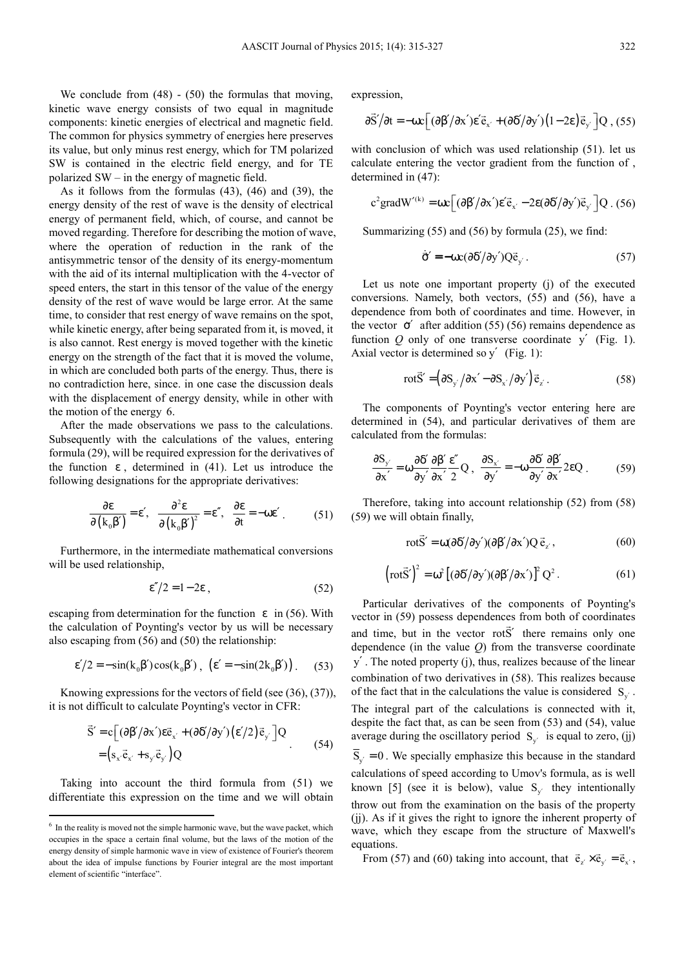We conclude from  $(48)$  -  $(50)$  the formulas that moving, kinetic wave energy consists of two equal in magnitude components: kinetic energies of electrical and magnetic field. The common for physics symmetry of energies here preserves its value, but only minus rest energy, which for TM polarized SW is contained in the electric field energy, and for TE polarized SW – in the energy of magnetic field.

As it follows from the formulas (43), (46) and (39), the energy density of the rest of wave is the density of electrical energy of permanent field, which, of course, and cannot be moved regarding. Therefore for describing the motion of wave, where the operation of reduction in the rank of the antisymmetric tensor of the density of its energy-momentum with the aid of its internal multiplication with the 4-vector of speed enters, the start in this tensor of the value of the energy density of the rest of wave would be large error. At the same time, to consider that rest energy of wave remains on the spot, while kinetic energy, after being separated from it, is moved, it is also cannot. Rest energy is moved together with the kinetic energy on the strength of the fact that it is moved the volume, in which are concluded both parts of the energy. Thus, there is no contradiction here, since. in one case the discussion deals with the displacement of energy density, while in other with the motion of the energy 6.

After the made observations we pass to the calculations. Subsequently with the calculations of the values, entering formula (29), will be required expression for the derivatives of the function  $\varepsilon$ , determined in (41). Let us introduce the following designations for the appropriate derivatives:

$$
\frac{\partial \varepsilon}{\partial (k_0 \beta')} = \varepsilon', \quad \frac{\partial^2 \varepsilon}{\partial (k_0 \beta')^2} = \varepsilon'', \quad \frac{\partial \varepsilon}{\partial t} = -\omega \varepsilon'.
$$
 (51)

Furthermore, in the intermediate mathematical conversions will be used relationship,

$$
\varepsilon''/2 = 1 - 2\varepsilon \tag{52}
$$

escaping from determination for the function  $\epsilon$  in (56). With the calculation of Poynting's vector by us will be necessary also escaping from (56) and (50) the relationship:

$$
\varepsilon'/2 = -\sin(k_0 \beta') \cos(k_0 \beta'), \quad (\varepsilon' = -\sin(2k_0 \beta')). \tag{53}
$$

Knowing expressions for the vectors of field (see (36), (37)), it is not difficult to calculate Poynting's vector in CFR:

$$
\vec{S}' = c \left[ (\partial \beta'/\partial x') \varepsilon \vec{e}_{x'} + (\partial \delta'/\partial y') (\varepsilon'/2) \vec{e}_{y'} \right] Q
$$
  
=  $(s_{x'} \vec{e}_{x'} + s_{y'} \vec{e}_{y'}) Q$  (54)

Taking into account the third formula from (51) we differentiate this expression on the time and we will obtain

 $\overline{a}$ 

expression,

$$
\frac{\partial \vec{S}}{\partial t} = -\omega c \left[ (\frac{\partial \beta'}{\partial x}) \varepsilon' \vec{e}_{x'} + (\frac{\partial \delta'}{\partial y'}) (1 - 2\varepsilon) \vec{e}_{y'} \right] Q , (55)
$$

with conclusion of which was used relationship (51). let us calculate entering the vector gradient from the function of , determined in (47):

$$
c^{2}gradW^{\prime(k)} = \omega c \Big[ (\partial \beta^{\prime}/\partial x^{\prime}) \epsilon^{\prime} \vec{e}_{x^{\prime}} - 2 \epsilon (\partial \delta^{\prime}/\partial y^{\prime}) \vec{e}_{y^{\prime}} \Big] Q \ . \ (56)
$$

Summarizing (55) and (56) by formula (25), we find:

$$
\dot{\vec{\sigma}}' = -\omega c (\partial \delta'/\partial y') Q \vec{e}_{y'}.
$$
 (57)

Let us note one important property (j) of the executed conversions. Namely, both vectors, (55) and (56), have a dependence from both of coordinates and time. However, in the vector  $\dot{\sigma}'$  after addition (55) (56) remains dependence as function  $Q$  only of one transverse coordinate y' (Fig. 1). Axial vector is determined so y' (Fig. 1):

$$
\text{rot}\vec{S}' = (\partial S_{y'}/\partial x' - \partial S_{x'}/\partial y')\vec{e}_{z'}.
$$
 (58)

The components of Poynting's vector entering here are determined in (54), and particular derivatives of them are calculated from the formulas:

$$
\frac{\partial S_{y'}}{\partial x'} = \omega \frac{\partial \delta'}{\partial y'} \frac{\partial \beta'}{\partial x'} \frac{\epsilon''}{2} Q , \frac{\partial S_{x'}}{\partial y'} = -\omega \frac{\partial \delta'}{\partial y'} \frac{\partial \beta'}{\partial x'} 2\epsilon Q .
$$
 (59)

Therefore, taking into account relationship (52) from (58) (59) we will obtain finally,

$$
\text{rot}\vec{S}' = \omega(\partial \delta'/\partial y')(\partial \beta'/\partial x')Q\vec{e}_{z'},\tag{60}
$$

$$
\left(\text{rot}\vec{S}'\right)^2 = \omega^2 \left[ (\partial \delta'/\partial y') (\partial \beta'/\partial x') \right]^2 Q^2. \tag{61}
$$

Particular derivatives of the components of Poynting's vector in (59) possess dependences from both of coordinates and time, but in the vector rotS' there remains only one dependence (in the value *Q*) from the transverse coordinate y′ . The noted property (j), thus, realizes because of the linear combination of two derivatives in (58). This realizes because of the fact that in the calculations the value is considered  $S_{y'}$ . The integral part of the calculations is connected with it, despite the fact that, as can be seen from (53) and (54), value average during the oscillatory period  $S_{y'}$  is equal to zero, (j)  $\overline{S}_{v'} = 0$ . We specially emphasize this because in the standard

calculations of speed according to Umov's formula, as is well known [5] (see it is below), value  $S_{y'}$  they intentionally throw out from the examination on the basis of the property (jj). As if it gives the right to ignore the inherent property of wave, which they escape from the structure of Maxwell's equations.

From (57) and (60) taking into account, that  $\vec{e}_z \times \vec{e}_{y'} = \vec{e}_{x'}$ ,

<sup>&</sup>lt;sup>6</sup> In the reality is moved not the simple harmonic wave, but the wave packet, which occupies in the space a certain final volume, but the laws of the motion of the energy density of simple harmonic wave in view of existence of Fourier's theorem about the idea of impulse functions by Fourier integral are the most important element of scientific "interface".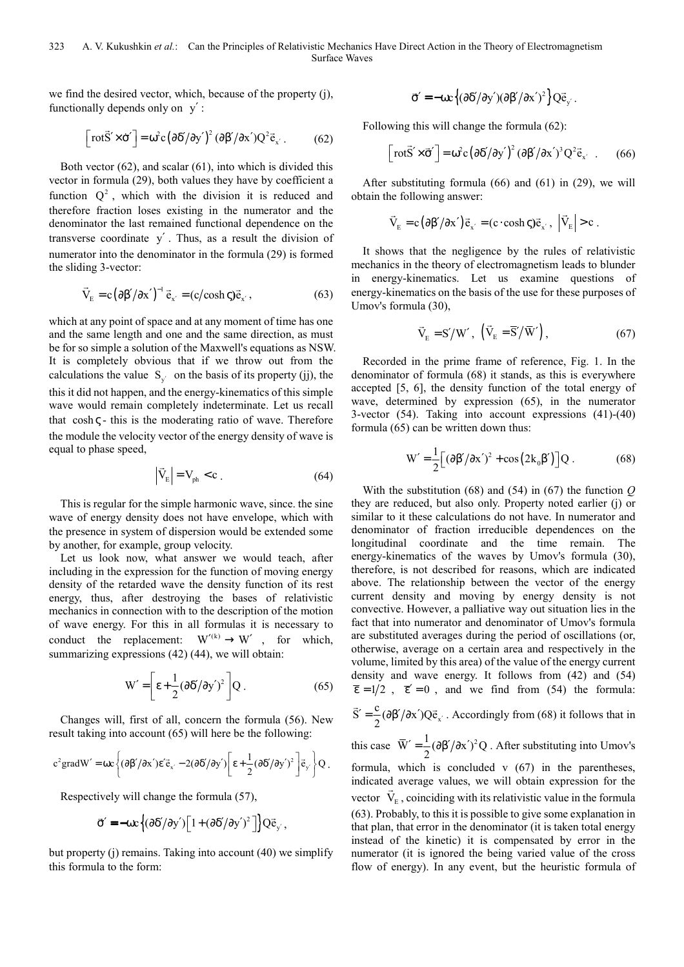we find the desired vector, which, because of the property (j), functionally depends only on y′ :

$$
\left[\text{rot}\vec{S}' \times \dot{\sigma}'\right] = \omega^2 c \left(\partial \delta'/\partial y'\right)^2 \left(\partial \beta'/\partial x'\right) Q^2 \vec{e}_{x'}.
$$
 (62)

Both vector (62), and scalar (61), into which is divided this vector in formula (29), both values they have by coefficient a function  $Q^2$ , which with the division it is reduced and therefore fraction loses existing in the numerator and the denominator the last remained functional dependence on the transverse coordinate y′ . Thus, as a result the division of numerator into the denominator in the formula (29) is formed the sliding 3-vector:

$$
\vec{V}_{E} = c (\partial \beta'/\partial x')^{-1} \vec{e}_{x'} = (c/\cosh \zeta) \vec{e}_{x'},
$$
\n(63)

which at any point of space and at any moment of time has one and the same length and one and the same direction, as must be for so simple a solution of the Maxwell's equations as NSW. It is completely obvious that if we throw out from the calculations the value  $S_{y'}$  on the basis of its property (jj), the this it did not happen, and the energy-kinematics of this simple wave would remain completely indeterminate. Let us recall that  $\cosh \zeta$  - this is the moderating ratio of wave. Therefore the module the velocity vector of the energy density of wave is equal to phase speed,

$$
\left| \vec{V}_{E} \right| = V_{ph} < c \tag{64}
$$

This is regular for the simple harmonic wave, since. the sine wave of energy density does not have envelope, which with the presence in system of dispersion would be extended some by another, for example, group velocity.

Let us look now, what answer we would teach, after including in the expression for the function of moving energy density of the retarded wave the density function of its rest energy, thus, after destroying the bases of relativistic mechanics in connection with to the description of the motion of wave energy. For this in all formulas it is necessary to conduct the replacement:  $W^{\prime(k)} \rightarrow W'$ , for which, summarizing expressions (42) (44), we will obtain:

$$
W' = \left[\varepsilon + \frac{1}{2} (\partial \delta' / \partial y')^2\right] Q. \tag{65}
$$

Changes will, first of all, concern the formula (56). New result taking into account (65) will here be the following:

$$
c^{2}grad W' = \omega c \left\{ (\partial \beta'/\partial x') \varepsilon' \vec{e}_{x'} - 2(\partial \delta'/\partial y') \bigg[ \varepsilon + \frac{1}{2} (\partial \delta'/\partial y')^{2} \bigg] \vec{e}_{y'} \right\} Q.
$$

Respectively will change the formula (57),

$$
\vec{\sigma}' = -\omega c \left\{ (\partial \delta'/\partial y') \left[ 1 + (\partial \delta'/\partial y')^2 \right] \right\} Q \vec{e}_{y'},
$$

but property (j) remains. Taking into account (40) we simplify this formula to the form:

$$
\vec{\sigma}' = -\omega c \left\{ (\partial \delta'/\partial y') (\partial \beta'/\partial x')^2 \right\} Q \vec{e}_{y'}.
$$

Following this will change the formula (62):

$$
\left[\text{rot}\vec{S}' \times \vec{\sigma}'\right] = \omega^2 c \left(\partial \delta'/\partial y'\right)^2 \left(\partial \beta'/\partial x'\right)^3 Q^2 \vec{e}_{x'} . \qquad (66)
$$

After substituting formula (66) and (61) in (29), we will obtain the following answer:

$$
\vec{V}_{E} = c(\partial \beta'/\partial x') \vec{e}_{x'} = (c \cdot \cosh \varsigma) \vec{e}_{x'}, \ \left| \vec{V}_{E} \right| > c \ .
$$

It shows that the negligence by the rules of relativistic mechanics in the theory of electromagnetism leads to blunder in energy-kinematics. Let us examine questions of energy-kinematics on the basis of the use for these purposes of Umov's formula (30),

$$
\vec{V}_{E} = S' / W', \quad (\vec{V}_{E} = \overline{S}' / \overline{W}'), \tag{67}
$$

Recorded in the prime frame of reference, Fig. 1. In the denominator of formula (68) it stands, as this is everywhere accepted [5, 6], the density function of the total energy of wave, determined by expression (65), in the numerator 3-vector (54). Taking into account expressions (41)-(40) formula (65) can be written down thus:

$$
W' = \frac{1}{2} \left[ \left( \frac{\partial \beta'}{\partial x'} \right)^2 + \cos \left( 2k_0 \beta' \right) \right] Q \,. \tag{68}
$$

With the substitution (68) and (54) in (67) the function *Q*  they are reduced, but also only. Property noted earlier (j) or similar to it these calculations do not have. In numerator and denominator of fraction irreducible dependences on the longitudinal coordinate and the time remain. The energy-kinematics of the waves by Umov's formula (30), therefore, is not described for reasons, which are indicated above. The relationship between the vector of the energy current density and moving by energy density is not convective. However, a palliative way out situation lies in the fact that into numerator and denominator of Umov's formula are substituted averages during the period of oscillations (or, otherwise, average on a certain area and respectively in the volume, limited by this area) of the value of the energy current density and wave energy. It follows from (42) and (54)  $\overline{\epsilon} = 1/2$ ,  $\overline{\epsilon}' = 0$ , and we find from (54) the formula:

$$
\vec{S}' = \frac{c}{2} (\partial \beta'/\partial x') Q \vec{e}_{x'}
$$
. Accordingly from (68) it follows that in

this case  $\overline{W}' = \frac{1}{2} (\partial \beta' / \partial x')^2 Q$ . After substituting into Umov's formula, which is concluded  $v(67)$  in the parentheses, indicated average values, we will obtain expression for the vector  $V_{E}$ , coinciding with its relativistic value in the formula (63). Probably, to this it is possible to give some explanation in that plan, that error in the denominator (it is taken total energy instead of the kinetic) it is compensated by error in the numerator (it is ignored the being varied value of the cross flow of energy). In any event, but the heuristic formula of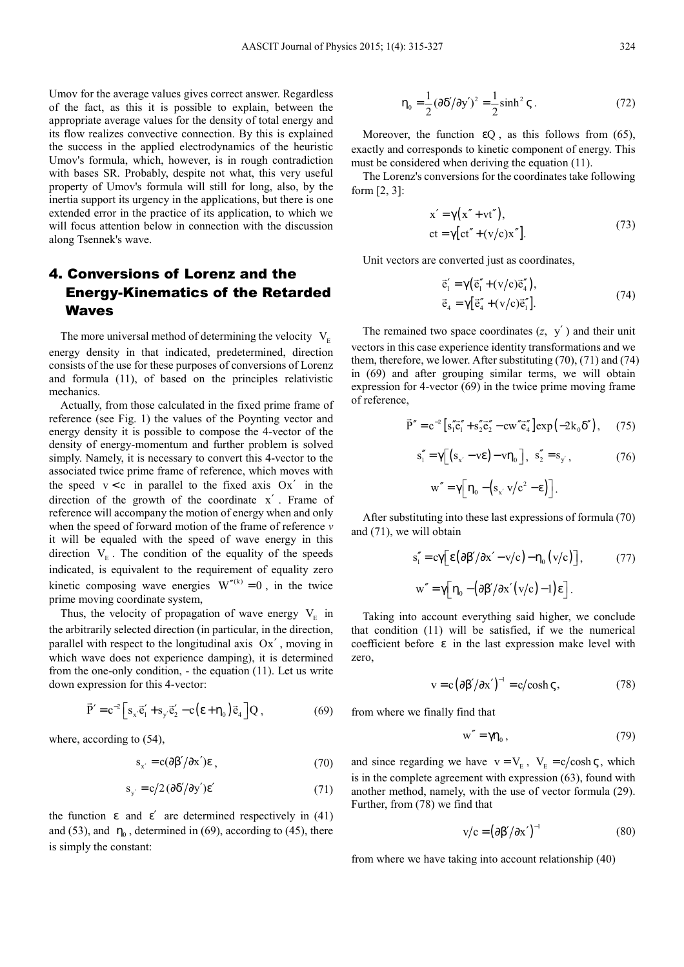Umov for the average values gives correct answer. Regardless of the fact, as this it is possible to explain, between the appropriate average values for the density of total energy and its flow realizes convective connection. By this is explained the success in the applied electrodynamics of the heuristic Umov's formula, which, however, is in rough contradiction with bases SR. Probably, despite not what, this very useful property of Umov's formula will still for long, also, by the inertia support its urgency in the applications, but there is one extended error in the practice of its application, to which we will focus attention below in connection with the discussion along Tsennek's wave.

### 4. Conversions of Lorenz and the Energy-Kinematics of the Retarded Waves

The more universal method of determining the velocity  $V<sub>E</sub>$ energy density in that indicated, predetermined, direction consists of the use for these purposes of conversions of Lorenz and formula (11), of based on the principles relativistic mechanics.

Actually, from those calculated in the fixed prime frame of reference (see Fig. 1) the values of the Poynting vector and energy density it is possible to compose the 4-vector of the density of energy-momentum and further problem is solved simply. Namely, it is necessary to convert this 4-vector to the associated twice prime frame of reference, which moves with the speed  $v < c$  in parallel to the fixed axis  $Ox'$  in the direction of the growth of the coordinate x′ . Frame of reference will accompany the motion of energy when and only when the speed of forward motion of the frame of reference *v*  it will be equaled with the speed of wave energy in this direction  $V_{E}$ . The condition of the equality of the speeds indicated, is equivalent to the requirement of equality zero kinetic composing wave energies  $W''^{(k)} = 0$ , in the twice prime moving coordinate system,

Thus, the velocity of propagation of wave energy  $V_{E}$  in the arbitrarily selected direction (in particular, in the direction, parallel with respect to the longitudinal axis  $Ox'$ , moving in which wave does not experience damping), it is determined from the one-only condition, - the equation (11). Let us write down expression for this 4-vector:

$$
\vec{P}' = c^{-2} \Big[ s_x \cdot \vec{e}_1' + s_y \cdot \vec{e}_2' - c \big( \epsilon + \eta_0 \big) \vec{e}_4 \Big] Q , \qquad (69)
$$

where, according to (54),

$$
s_{x'} = c(\partial \beta'/\partial x')\varepsilon , \qquad (70)
$$

$$
s_{y'} = c/2 (\partial \delta'/\partial y') \epsilon'
$$
 (71)

the function  $\varepsilon$  and  $\varepsilon'$  are determined respectively in (41) and (53), and  $\eta_0$ , determined in (69), according to (45), there is simply the constant:

$$
\eta_0 = \frac{1}{2} (\partial \delta / \partial y')^2 = \frac{1}{2} \sinh^2 \varsigma \,. \tag{72}
$$

Moreover, the function  $\varepsilon Q$ , as this follows from (65), exactly and corresponds to kinetic component of energy. This must be considered when deriving the equation (11).

The Lorenz's conversions for the coordinates take following form  $[2, 3]$ :

$$
x' = \gamma(x'' + vt''),
$$
  
ct =  $\gamma[ct'' + (v/c)x'']$ . (73)

Unit vectors are converted just as coordinates,

$$
\vec{e}'_1 = \gamma (\vec{e}''_1 + (v/c)\vec{e}''_4), \n\vec{e}_4 = \gamma [\vec{e}''_4 + (v/c)\vec{e}''_1].
$$
\n(74)

The remained two space coordinates  $(z, y')$  and their unit vectors in this case experience identity transformations and we them, therefore, we lower. After substituting (70), (71) and (74) in (69) and after grouping similar terms, we will obtain expression for 4-vector (69) in the twice prime moving frame of reference,

$$
\vec{P}'' = c^{-2} \left[ s_1'' \vec{c}_1'' + s_2'' \vec{e}_2'' - c w'' \vec{e}_4'' \right] \exp\left( -2k_0 \delta'' \right), \quad (75)
$$

$$
s_1'' = \gamma \Big[ \big( s_{x'} - v \varepsilon \big) - v \eta_0 \Big], \ \ s_2'' = s_{y'}, \tag{76}
$$

$$
w'' = \gamma \Big[ \eta_0 - \left( s_{x'} v / c^2 - \epsilon \right) \Big].
$$

After substituting into these last expressions of formula (70) and (71), we will obtain

$$
s_1'' = c\gamma \Big[ \varepsilon \big( \partial \beta' / \partial x' - v/c \big) - \eta_0 \big( v/c \big) \Big], \tag{77}
$$
  

$$
w'' = \gamma \Big[ \eta_0 - \big( \partial \beta' / \partial x' \big( v/c \big) - 1 \big) \varepsilon \Big].
$$

Taking into account everything said higher, we conclude that condition (11) will be satisfied, if we the numerical coefficient before  $\varepsilon$  in the last expression make level with zero,

$$
v = c (\partial \beta'/\partial x')^{-1} = c/\cosh \zeta, \qquad (78)
$$

from where we finally find that

$$
w'' = \gamma \eta_0, \qquad (79)
$$

and since regarding we have  $v = V_E$ ,  $V_E = c/cosh \zeta$ , which is in the complete agreement with expression (63), found with another method, namely, with the use of vector formula (29). Further, from (78) we find that

$$
v/c = (\partial \beta'/\partial x')^{-1}
$$
 (80)

from where we have taking into account relationship (40)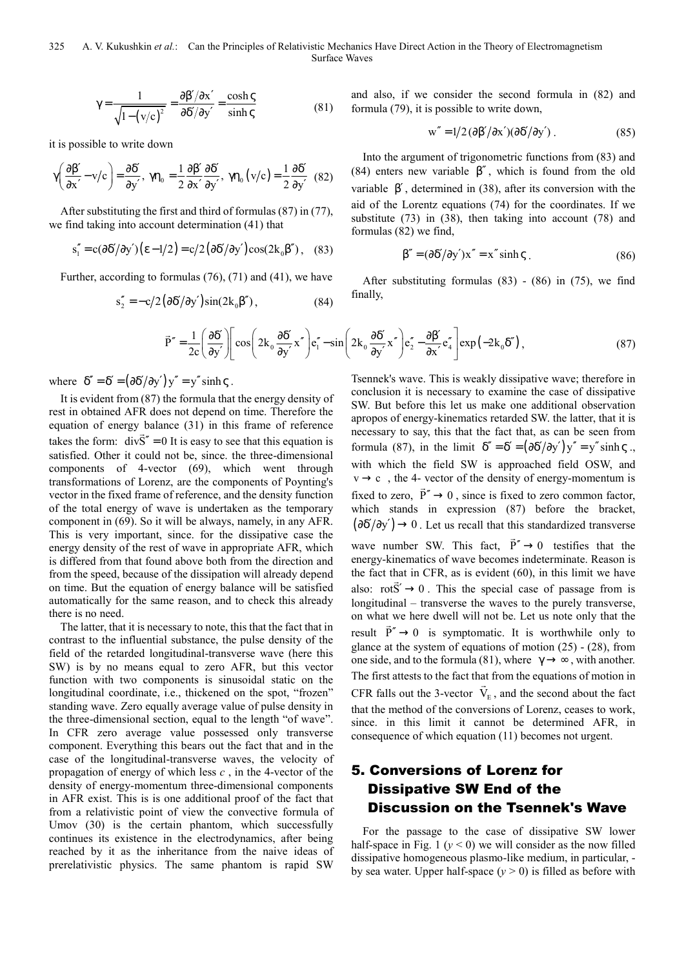325 A. V. Kukushkin *et al.*: Can the Principles of Relativistic Mechanics Have Direct Action in the Theory of Electromagnetism Surface Waves

$$
\gamma = \frac{1}{\sqrt{1 - (v/c)^2}} = \frac{\partial \beta' / \partial x'}{\partial \delta' / \partial y'} = \frac{\cosh \varsigma}{\sinh \varsigma}
$$
(81)

it is possible to write down

$$
\gamma \left( \frac{\partial \beta'}{\partial x'} - v/c \right) = \frac{\partial \delta'}{\partial y'}, \ \gamma \eta_0 = \frac{1}{2} \frac{\partial \beta'}{\partial x'} \frac{\partial \delta'}{\partial y'}, \ \gamma \eta_0 \left( v/c \right) = \frac{1}{2} \frac{\partial \delta'}{\partial y'} \ (82)
$$

After substituting the first and third of formulas (87) in (77), we find taking into account determination (41) that

$$
s_1'' = c(\partial \delta'/\partial y')(\epsilon - 1/2) = c/2(\partial \delta'/\partial y')\cos(2k_0\beta'), \quad (83)
$$

Further, according to formulas (76), (71) and (41), we have

$$
s_2'' = -c/2(\partial \delta'/\partial y')\sin(2k_0\beta''),\tag{84}
$$

and also, if we consider the second formula in (82) and formula (79), it is possible to write down,

$$
w'' = 1/2 (\partial \beta'/\partial x') (\partial \delta'/\partial y').
$$
 (85)

Into the argument of trigonometric functions from (83) and (84) enters new variable  $\beta''$ , which is found from the old variable β′ , determined in (38), after its conversion with the aid of the Lorentz equations (74) for the coordinates. If we substitute (73) in (38), then taking into account (78) and formulas (82) we find,

$$
\beta'' = (\partial \delta'/\partial y')x'' = x'' \sinh \zeta \tag{86}
$$

After substituting formulas  $(83)$  -  $(86)$  in  $(75)$ , we find finally,

$$
\vec{P}'' = \frac{1}{2c} \left( \frac{\partial \delta'}{\partial y'} \right) \left[ \cos \left( 2k_0 \frac{\partial \delta'}{\partial y'} x'' \right) e''_1 - \sin \left( 2k_0 \frac{\partial \delta'}{\partial y'} x'' \right) e''_2 - \frac{\partial \beta'}{\partial x'} e''_4 \right] \exp \left( -2k_0 \delta'' \right),\tag{87}
$$

where  $\delta'' = \delta' = (\partial \delta'/\partial y') y'' = y'' \sinh \zeta$ .

It is evident from (87) the formula that the energy density of rest in obtained AFR does not depend on time. Therefore the equation of energy balance (31) in this frame of reference takes the form:  $div S'' = 0$  It is easy to see that this equation is satisfied. Other it could not be, since. the three-dimensional components of 4-vector (69), which went through transformations of Lorenz, are the components of Poynting's vector in the fixed frame of reference, and the density function of the total energy of wave is undertaken as the temporary component in (69). So it will be always, namely, in any AFR. This is very important, since. for the dissipative case the energy density of the rest of wave in appropriate AFR, which is differed from that found above both from the direction and from the speed, because of the dissipation will already depend on time. But the equation of energy balance will be satisfied automatically for the same reason, and to check this already there is no need.

The latter, that it is necessary to note, this that the fact that in contrast to the influential substance, the pulse density of the field of the retarded longitudinal-transverse wave (here this SW) is by no means equal to zero AFR, but this vector function with two components is sinusoidal static on the longitudinal coordinate, i.e., thickened on the spot, "frozen" standing wave. Zero equally average value of pulse density in the three-dimensional section, equal to the length "of wave". In CFR zero average value possessed only transverse component. Everything this bears out the fact that and in the case of the longitudinal-transverse waves, the velocity of propagation of energy of which less *c* , in the 4-vector of the density of energy-momentum three-dimensional components in AFR exist. This is is one additional proof of the fact that from a relativistic point of view the convective formula of Umov (30) is the certain phantom, which successfully continues its existence in the electrodynamics, after being reached by it as the inheritance from the naive ideas of prerelativistic physics. The same phantom is rapid SW

Tsennek's wave. This is weakly dissipative wave; therefore in conclusion it is necessary to examine the case of dissipative SW. But before this let us make one additional observation apropos of energy-kinematics retarded SW. the latter, that it is necessary to say, this that the fact that, as can be seen from formula (87), in the limit  $\delta'' = \delta' = (\partial \delta'/\partial y')y'' = y'' \sinh \zeta$ . with which the field SW is approached field OSW, and  $v \rightarrow c$ , the 4- vector of the density of energy-momentum is fixed to zero,  $P'' \rightarrow 0$ , since is fixed to zero common factor, which stands in expression (87) before the bracket,  $(\partial \delta'/\partial v') \rightarrow 0$ . Let us recall that this standardized transverse wave number SW. This fact,  $P'' \rightarrow 0$  $\overline{\phantom{a}}$  testifies that the energy-kinematics of wave becomes indeterminate. Reason is the fact that in CFR, as is evident  $(60)$ , in this limit we have also:  $rotS' \rightarrow 0$ . This the special case of passage from is longitudinal – transverse the waves to the purely transverse, on what we here dwell will not be. Let us note only that the result  $P'' \rightarrow 0$  is symptomatic. It is worthwhile only to glance at the system of equations of motion  $(25)$  -  $(28)$ , from one side, and to the formula (81), where  $\gamma \rightarrow \infty$ , with another. The first attests to the fact that from the equations of motion in CFR falls out the 3-vector  $V_{E}$ , and the second about the fact that the method of the conversions of Lorenz, ceases to work, since. in this limit it cannot be determined AFR, in consequence of which equation (11) becomes not urgent.

### 5. Conversions of Lorenz for Dissipative SW End of the Discussion on the Tsennek's Wave

For the passage to the case of dissipative SW lower half-space in Fig. 1  $(y < 0)$  we will consider as the now filled dissipative homogeneous plasmo-like medium, in particular, by sea water. Upper half-space  $(y > 0)$  is filled as before with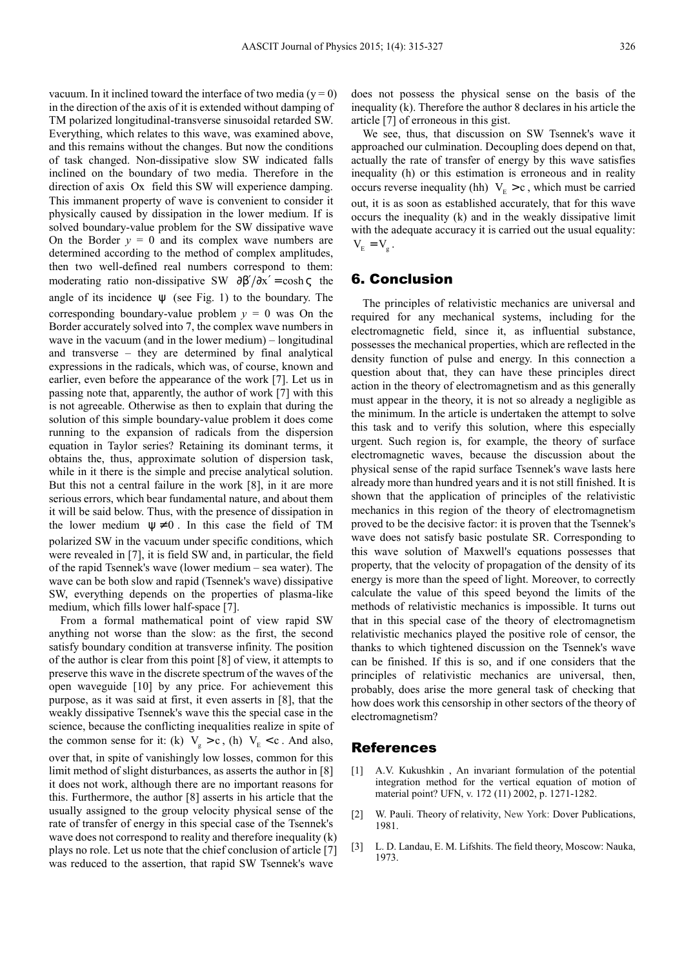vacuum. In it inclined toward the interface of two media ( $y = 0$ ) in the direction of the axis of it is extended without damping of TM polarized longitudinal-transverse sinusoidal retarded SW. Everything, which relates to this wave, was examined above, and this remains without the changes. But now the conditions of task changed. Non-dissipative slow SW indicated falls inclined on the boundary of two media. Therefore in the direction of axis Ox field this SW will experience damping. This immanent property of wave is convenient to consider it physically caused by dissipation in the lower medium. If is solved boundary-value problem for the SW dissipative wave On the Border  $y = 0$  and its complex wave numbers are determined according to the method of complex amplitudes, then two well-defined real numbers correspond to them: moderating ratio non-dissipative SW  $\frac{\partial \beta'}{\partial x'} = \cosh \varsigma$  the angle of its incidence  $\psi$  (see Fig. 1) to the boundary. The corresponding boundary-value problem  $y = 0$  was On the Border accurately solved into 7, the complex wave numbers in wave in the vacuum (and in the lower medium) – longitudinal and transverse – they are determined by final analytical expressions in the radicals, which was, of course, known and earlier, even before the appearance of the work [7]. Let us in passing note that, apparently, the author of work [7] with this is not agreeable. Otherwise as then to explain that during the solution of this simple boundary-value problem it does come running to the expansion of radicals from the dispersion equation in Taylor series? Retaining its dominant terms, it obtains the, thus, approximate solution of dispersion task, while in it there is the simple and precise analytical solution. But this not a central failure in the work [8], in it are more serious errors, which bear fundamental nature, and about them it will be said below. Thus, with the presence of dissipation in the lower medium  $\Psi \neq 0$ . In this case the field of TM polarized SW in the vacuum under specific conditions, which were revealed in [7], it is field SW and, in particular, the field of the rapid Tsennek's wave (lower medium – sea water). The wave can be both slow and rapid (Tsennek's wave) dissipative SW, everything depends on the properties of plasma-like medium, which fills lower half-space [7].

From a formal mathematical point of view rapid SW anything not worse than the slow: as the first, the second satisfy boundary condition at transverse infinity. The position of the author is clear from this point [8] of view, it attempts to preserve this wave in the discrete spectrum of the waves of the open waveguide [10] by any price. For achievement this purpose, as it was said at first, it even asserts in [8], that the weakly dissipative Tsennek's wave this the special case in the science, because the conflicting inequalities realize in spite of the common sense for it: (k)  $V_g > c$ , (h)  $V_E < c$ . And also, over that, in spite of vanishingly low losses, common for this limit method of slight disturbances, as asserts the author in [8] it does not work, although there are no important reasons for this. Furthermore, the author [8] asserts in his article that the usually assigned to the group velocity physical sense of the rate of transfer of energy in this special case of the Tsennek's wave does not correspond to reality and therefore inequality (k) plays no role. Let us note that the chief conclusion of article [7] was reduced to the assertion, that rapid SW Tsennek's wave

does not possess the physical sense on the basis of the inequality (k). Therefore the author 8 declares in his article the article [7] of erroneous in this gist.

We see, thus, that discussion on SW Tsennek's wave it approached our culmination. Decoupling does depend on that, actually the rate of transfer of energy by this wave satisfies inequality (h) or this estimation is erroneous and in reality occurs reverse inequality (hh)  $V_E > c$ , which must be carried out, it is as soon as established accurately, that for this wave occurs the inequality (k) and in the weakly dissipative limit with the adequate accuracy it is carried out the usual equality:  $V_{\rm E} = V_{\rm g}$ .

#### 6. Conclusion

The principles of relativistic mechanics are universal and required for any mechanical systems, including for the electromagnetic field, since it, as influential substance, possesses the mechanical properties, which are reflected in the density function of pulse and energy. In this connection a question about that, they can have these principles direct action in the theory of electromagnetism and as this generally must appear in the theory, it is not so already a negligible as the minimum. In the article is undertaken the attempt to solve this task and to verify this solution, where this especially urgent. Such region is, for example, the theory of surface electromagnetic waves, because the discussion about the physical sense of the rapid surface Tsennek's wave lasts here already more than hundred years and it is not still finished. It is shown that the application of principles of the relativistic mechanics in this region of the theory of electromagnetism proved to be the decisive factor: it is proven that the Tsennek's wave does not satisfy basic postulate SR. Corresponding to this wave solution of Maxwell's equations possesses that property, that the velocity of propagation of the density of its energy is more than the speed of light. Moreover, to correctly calculate the value of this speed beyond the limits of the methods of relativistic mechanics is impossible. It turns out that in this special case of the theory of electromagnetism relativistic mechanics played the positive role of censor, the thanks to which tightened discussion on the Tsennek's wave can be finished. If this is so, and if one considers that the principles of relativistic mechanics are universal, then, probably, does arise the more general task of checking that how does work this censorship in other sectors of the theory of electromagnetism?

#### References

- [1] A.V. Kukushkin, An invariant formulation of the potential integration method for the vertical equation of motion of material point? UFN, v. 172 (11) 2002, p. 1271-1282.
- [2] W. Pauli. Theory of relativity, New York: Dover Publications, 1981.
- [3] L. D. Landau, E. M. Lifshits. The field theory, Moscow: Nauka, 1973.